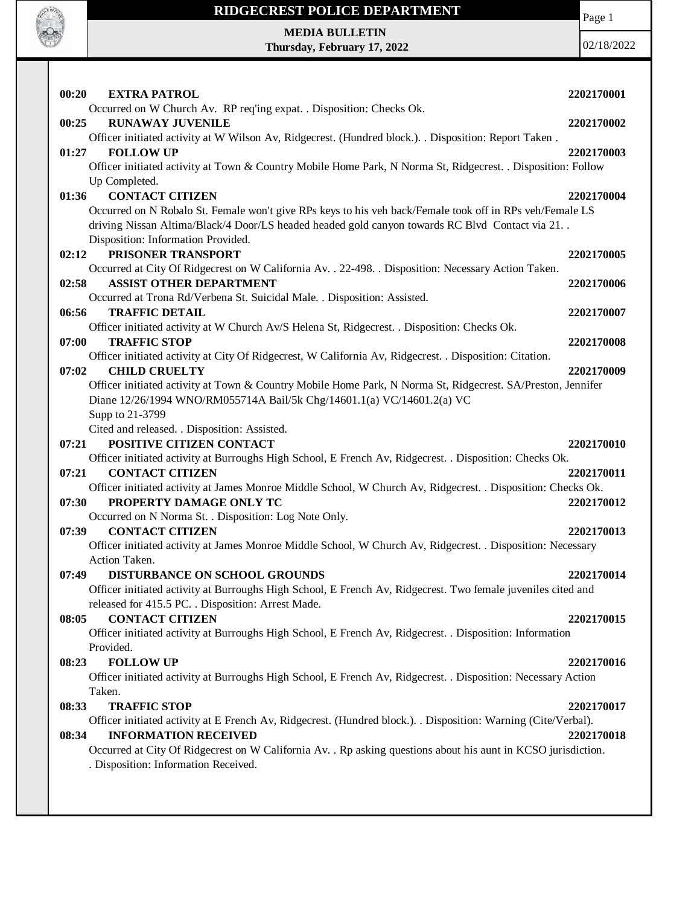

Page 1

**MEDIA BULLETIN Thursday, February 17, 2022**

| 00:20 | <b>EXTRA PATROL</b>                                                                                            | 2202170001 |
|-------|----------------------------------------------------------------------------------------------------------------|------------|
|       | Occurred on W Church Av. RP req'ing expat. . Disposition: Checks Ok.<br><b>RUNAWAY JUVENILE</b>                |            |
| 00:25 | Officer initiated activity at W Wilson Av, Ridgecrest. (Hundred block.). . Disposition: Report Taken .         | 2202170002 |
| 01:27 | <b>FOLLOW UP</b>                                                                                               | 2202170003 |
|       | Officer initiated activity at Town & Country Mobile Home Park, N Norma St, Ridgecrest. . Disposition: Follow   |            |
|       | Up Completed.                                                                                                  |            |
| 01:36 | <b>CONTACT CITIZEN</b>                                                                                         | 2202170004 |
|       | Occurred on N Robalo St. Female won't give RPs keys to his veh back/Female took off in RPs veh/Female LS       |            |
|       | driving Nissan Altima/Black/4 Door/LS headed headed gold canyon towards RC Blvd Contact via 21                 |            |
|       | Disposition: Information Provided.                                                                             |            |
| 02:12 | PRISONER TRANSPORT                                                                                             | 2202170005 |
|       | Occurred at City Of Ridgecrest on W California Av. . 22-498. . Disposition: Necessary Action Taken.            |            |
| 02:58 | <b>ASSIST OTHER DEPARTMENT</b>                                                                                 | 2202170006 |
|       | Occurred at Trona Rd/Verbena St. Suicidal Male. . Disposition: Assisted.                                       |            |
| 06:56 | <b>TRAFFIC DETAIL</b>                                                                                          | 2202170007 |
|       | Officer initiated activity at W Church Av/S Helena St, Ridgecrest. . Disposition: Checks Ok.                   |            |
| 07:00 | <b>TRAFFIC STOP</b>                                                                                            | 2202170008 |
|       | Officer initiated activity at City Of Ridgecrest, W California Av, Ridgecrest. . Disposition: Citation.        |            |
| 07:02 | <b>CHILD CRUELTY</b>                                                                                           | 2202170009 |
|       | Officer initiated activity at Town & Country Mobile Home Park, N Norma St, Ridgecrest. SA/Preston, Jennifer    |            |
|       | Diane 12/26/1994 WNO/RM055714A Bail/5k Chg/14601.1(a) VC/14601.2(a) VC                                         |            |
|       | Supp to 21-3799                                                                                                |            |
| 07:21 | Cited and released. . Disposition: Assisted.<br>POSITIVE CITIZEN CONTACT                                       | 2202170010 |
|       | Officer initiated activity at Burroughs High School, E French Av, Ridgecrest. . Disposition: Checks Ok.        |            |
| 07:21 | <b>CONTACT CITIZEN</b>                                                                                         | 2202170011 |
|       | Officer initiated activity at James Monroe Middle School, W Church Av, Ridgecrest. . Disposition: Checks Ok.   |            |
| 07:30 | PROPERTY DAMAGE ONLY TC                                                                                        | 2202170012 |
|       | Occurred on N Norma St. . Disposition: Log Note Only.                                                          |            |
| 07:39 | <b>CONTACT CITIZEN</b>                                                                                         | 2202170013 |
|       | Officer initiated activity at James Monroe Middle School, W Church Av, Ridgecrest. . Disposition: Necessary    |            |
|       | Action Taken.                                                                                                  |            |
| 07:49 | DISTURBANCE ON SCHOOL GROUNDS                                                                                  | 2202170014 |
|       | Officer initiated activity at Burroughs High School, E French Av, Ridgecrest. Two female juveniles cited and   |            |
|       | released for 415.5 PC. . Disposition: Arrest Made.                                                             |            |
| 08:05 | <b>CONTACT CITIZEN</b>                                                                                         | 2202170015 |
|       | Officer initiated activity at Burroughs High School, E French Av, Ridgecrest. . Disposition: Information       |            |
|       | Provided.                                                                                                      |            |
| 08:23 | <b>FOLLOW UP</b>                                                                                               | 2202170016 |
|       | Officer initiated activity at Burroughs High School, E French Av, Ridgecrest. . Disposition: Necessary Action  |            |
|       | Taken.                                                                                                         |            |
| 08:33 | <b>TRAFFIC STOP</b>                                                                                            | 2202170017 |
|       | Officer initiated activity at E French Av, Ridgecrest. (Hundred block.). . Disposition: Warning (Cite/Verbal). |            |
| 08:34 | <b>INFORMATION RECEIVED</b>                                                                                    | 2202170018 |
|       | Occurred at City Of Ridgecrest on W California Av. . Rp asking questions about his aunt in KCSO jurisdiction.  |            |
|       | . Disposition: Information Received.                                                                           |            |
|       |                                                                                                                |            |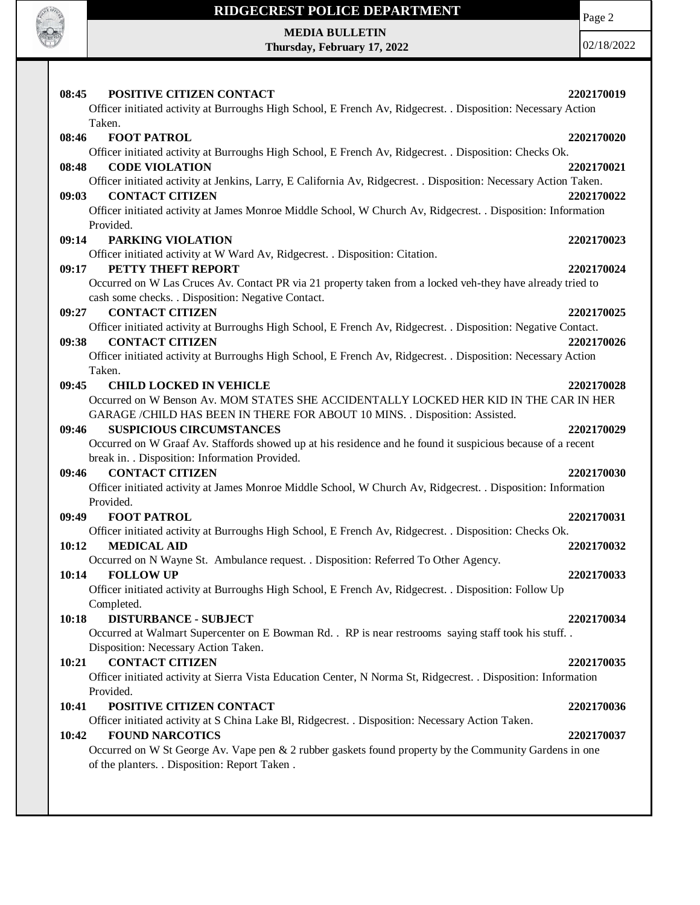

Page 2

**MEDIA BULLETIN Thursday, February 17, 2022**

| 08:45<br><b>POSITIVE CITIZEN CONTACT</b>                                                                                            | 2202170019 |
|-------------------------------------------------------------------------------------------------------------------------------------|------------|
| Officer initiated activity at Burroughs High School, E French Av, Ridgecrest. . Disposition: Necessary Action                       |            |
| Taken.                                                                                                                              |            |
| <b>FOOT PATROL</b><br>08:46                                                                                                         | 2202170020 |
| Officer initiated activity at Burroughs High School, E French Av, Ridgecrest. . Disposition: Checks Ok.                             |            |
| <b>CODE VIOLATION</b><br>08:48                                                                                                      | 2202170021 |
| Officer initiated activity at Jenkins, Larry, E California Av, Ridgecrest. . Disposition: Necessary Action Taken.                   |            |
| <b>CONTACT CITIZEN</b><br>09:03                                                                                                     | 2202170022 |
| Officer initiated activity at James Monroe Middle School, W Church Av, Ridgecrest. . Disposition: Information                       |            |
| Provided.                                                                                                                           |            |
|                                                                                                                                     | 2202170023 |
| 09:14<br>PARKING VIOLATION                                                                                                          |            |
| Officer initiated activity at W Ward Av, Ridgecrest. . Disposition: Citation.                                                       |            |
| PETTY THEFT REPORT<br>09:17                                                                                                         | 2202170024 |
| Occurred on W Las Cruces Av. Contact PR via 21 property taken from a locked veh-they have already tried to                          |            |
| cash some checks. . Disposition: Negative Contact.                                                                                  |            |
| <b>CONTACT CITIZEN</b><br>09:27                                                                                                     | 2202170025 |
| Officer initiated activity at Burroughs High School, E French Av, Ridgecrest. . Disposition: Negative Contact.                      |            |
| <b>CONTACT CITIZEN</b><br>09:38                                                                                                     | 2202170026 |
| Officer initiated activity at Burroughs High School, E French Av, Ridgecrest. . Disposition: Necessary Action                       |            |
| Taken.                                                                                                                              |            |
| <b>CHILD LOCKED IN VEHICLE</b><br>09:45                                                                                             | 2202170028 |
| Occurred on W Benson Av. MOM STATES SHE ACCIDENTALLY LOCKED HER KID IN THE CAR IN HER                                               |            |
| GARAGE /CHILD HAS BEEN IN THERE FOR ABOUT 10 MINS. . Disposition: Assisted.                                                         |            |
| 09:46<br><b>SUSPICIOUS CIRCUMSTANCES</b>                                                                                            | 2202170029 |
| Occurred on W Graaf Av. Staffords showed up at his residence and he found it suspicious because of a recent                         |            |
| break in. . Disposition: Information Provided.                                                                                      |            |
| <b>CONTACT CITIZEN</b><br>09:46                                                                                                     | 2202170030 |
| Officer initiated activity at James Monroe Middle School, W Church Av, Ridgecrest. . Disposition: Information                       |            |
| Provided.                                                                                                                           |            |
| <b>FOOT PATROL</b><br>09:49                                                                                                         | 2202170031 |
| Officer initiated activity at Burroughs High School, E French Av, Ridgecrest. . Disposition: Checks Ok.                             |            |
| <b>MEDICAL AID</b><br>10:12                                                                                                         | 2202170032 |
| Occurred on N Wayne St. Ambulance request. . Disposition: Referred To Other Agency.                                                 |            |
| 10:14<br><b>FOLLOW UP</b><br>Officer initiated activity at Burroughs High School, E French Av, Ridgecrest. . Disposition: Follow Up | 2202170033 |
|                                                                                                                                     |            |
| Completed.                                                                                                                          |            |
| 10:18<br><b>DISTURBANCE - SUBJECT</b>                                                                                               | 2202170034 |
| Occurred at Walmart Supercenter on E Bowman Rd. . RP is near restrooms saying staff took his stuff                                  |            |
| Disposition: Necessary Action Taken.                                                                                                |            |
| <b>CONTACT CITIZEN</b><br>10:21                                                                                                     | 2202170035 |
| Officer initiated activity at Sierra Vista Education Center, N Norma St, Ridgecrest. . Disposition: Information                     |            |
| Provided.                                                                                                                           |            |
| POSITIVE CITIZEN CONTACT<br>10:41                                                                                                   | 2202170036 |
| Officer initiated activity at S China Lake Bl, Ridgecrest. . Disposition: Necessary Action Taken.                                   |            |
| <b>FOUND NARCOTICS</b><br>10:42                                                                                                     | 2202170037 |
| Occurred on W St George Av. Vape pen & 2 rubber gaskets found property by the Community Gardens in one                              |            |
| of the planters. . Disposition: Report Taken.                                                                                       |            |
|                                                                                                                                     |            |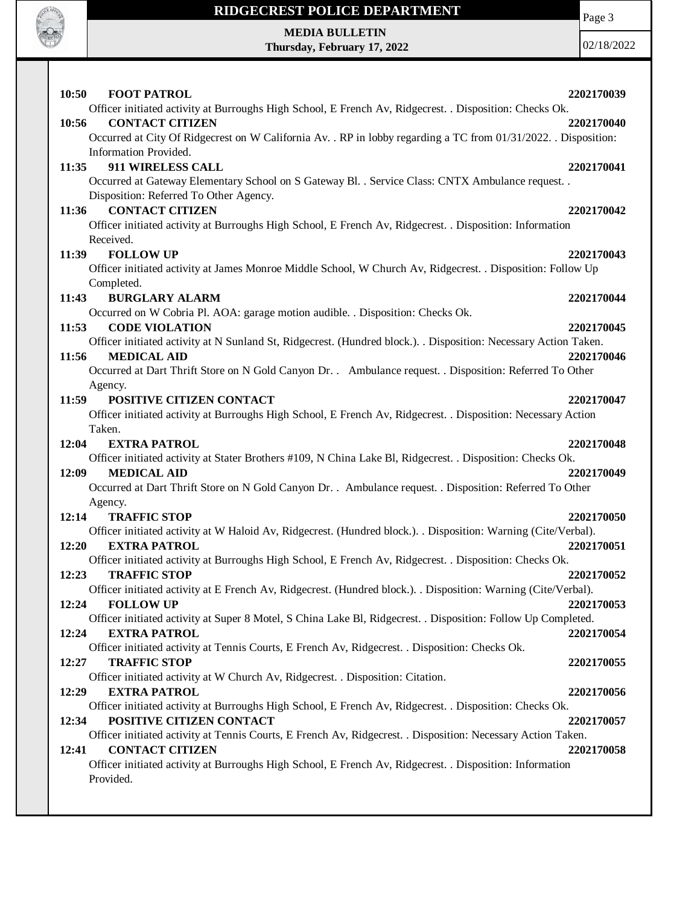

Page 3

**MEDIA BULLETIN Thursday, February 17, 2022**

| 10:50<br><b>FOOT PATROL</b>                                                                                      | 2202170039 |
|------------------------------------------------------------------------------------------------------------------|------------|
| Officer initiated activity at Burroughs High School, E French Av, Ridgecrest. . Disposition: Checks Ok.          |            |
| 10:56<br><b>CONTACT CITIZEN</b>                                                                                  | 2202170040 |
| Occurred at City Of Ridgecrest on W California Av. . RP in lobby regarding a TC from 01/31/2022. . Disposition:  |            |
| Information Provided.                                                                                            |            |
| 911 WIRELESS CALL<br>11:35                                                                                       | 2202170041 |
| Occurred at Gateway Elementary School on S Gateway Bl. . Service Class: CNTX Ambulance request. .                |            |
| Disposition: Referred To Other Agency.                                                                           |            |
| <b>CONTACT CITIZEN</b><br>11:36                                                                                  | 2202170042 |
| Officer initiated activity at Burroughs High School, E French Av, Ridgecrest. . Disposition: Information         |            |
| Received.                                                                                                        |            |
| 11:39<br><b>FOLLOW UP</b>                                                                                        | 2202170043 |
| Officer initiated activity at James Monroe Middle School, W Church Av, Ridgecrest. . Disposition: Follow Up      |            |
| Completed.                                                                                                       |            |
| <b>BURGLARY ALARM</b><br>11:43                                                                                   | 2202170044 |
| Occurred on W Cobria Pl. AOA: garage motion audible. . Disposition: Checks Ok.                                   |            |
| 11:53<br><b>CODE VIOLATION</b>                                                                                   | 2202170045 |
| Officer initiated activity at N Sunland St, Ridgecrest. (Hundred block.). . Disposition: Necessary Action Taken. |            |
| <b>MEDICAL AID</b><br>11:56                                                                                      | 2202170046 |
| Occurred at Dart Thrift Store on N Gold Canyon Dr. . Ambulance request. . Disposition: Referred To Other         |            |
| Agency.                                                                                                          |            |
| POSITIVE CITIZEN CONTACT<br>11:59                                                                                | 2202170047 |
| Officer initiated activity at Burroughs High School, E French Av, Ridgecrest. . Disposition: Necessary Action    |            |
| Taken.                                                                                                           |            |
| 12:04<br><b>EXTRA PATROL</b>                                                                                     | 2202170048 |
| Officer initiated activity at Stater Brothers #109, N China Lake Bl, Ridgecrest. . Disposition: Checks Ok.       |            |
| 12:09<br><b>MEDICAL AID</b>                                                                                      | 2202170049 |
| Occurred at Dart Thrift Store on N Gold Canyon Dr. . Ambulance request. . Disposition: Referred To Other         |            |
| Agency.                                                                                                          |            |
| 12:14<br><b>TRAFFIC STOP</b>                                                                                     | 2202170050 |
| Officer initiated activity at W Haloid Av, Ridgecrest. (Hundred block.). Disposition: Warning (Cite/Verbal).     |            |
| 12:20<br><b>EXTRA PATROL</b>                                                                                     | 2202170051 |
| Officer initiated activity at Burroughs High School, E French Av, Ridgecrest. . Disposition: Checks Ok.          |            |
| <b>TRAFFIC STOP</b><br>12:23                                                                                     | 2202170052 |
| Officer initiated activity at E French Av, Ridgecrest. (Hundred block.). . Disposition: Warning (Cite/Verbal).   |            |
| <b>FOLLOW UP</b><br>12:24                                                                                        | 2202170053 |
| Officer initiated activity at Super 8 Motel, S China Lake Bl, Ridgecrest. . Disposition: Follow Up Completed.    |            |
| 12:24<br><b>EXTRA PATROL</b>                                                                                     | 2202170054 |
| Officer initiated activity at Tennis Courts, E French Av, Ridgecrest. . Disposition: Checks Ok.                  |            |
| 12:27<br><b>TRAFFIC STOP</b>                                                                                     | 2202170055 |
| Officer initiated activity at W Church Av, Ridgecrest. . Disposition: Citation.                                  |            |
| 12:29<br><b>EXTRA PATROL</b>                                                                                     | 2202170056 |
| Officer initiated activity at Burroughs High School, E French Av, Ridgecrest. . Disposition: Checks Ok.          |            |
| POSITIVE CITIZEN CONTACT<br>12:34                                                                                | 2202170057 |
| Officer initiated activity at Tennis Courts, E French Av, Ridgecrest. . Disposition: Necessary Action Taken.     |            |
| <b>CONTACT CITIZEN</b><br>12:41                                                                                  | 2202170058 |
| Officer initiated activity at Burroughs High School, E French Av, Ridgecrest. . Disposition: Information         |            |
| Provided.                                                                                                        |            |
|                                                                                                                  |            |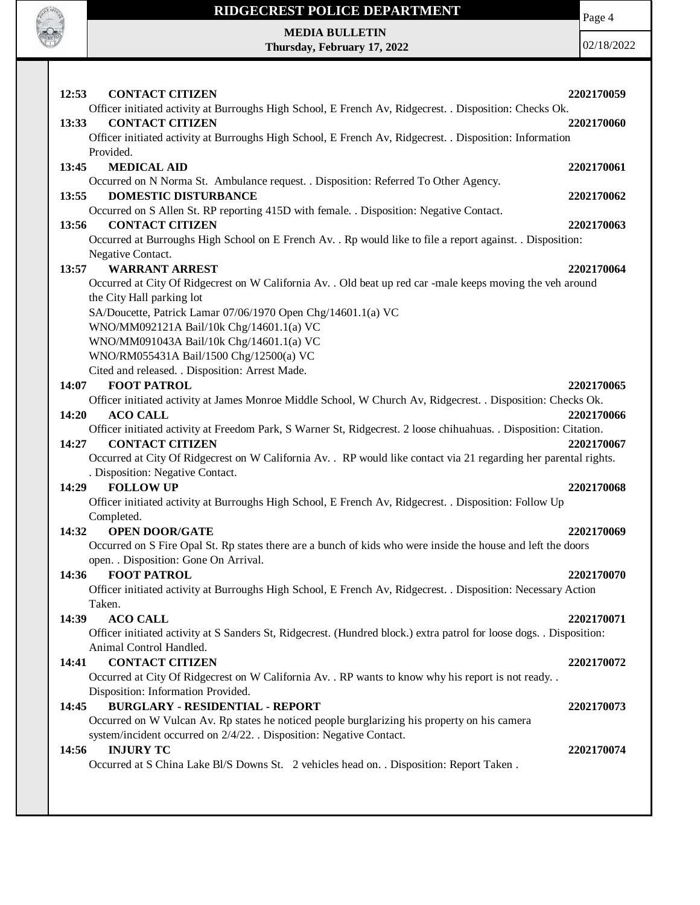

Page 4

**MEDIA BULLETIN Thursday, February 17, 2022**

| 12:53 | <b>CONTACT CITIZEN</b>                                                                                                            | 2202170059 |
|-------|-----------------------------------------------------------------------------------------------------------------------------------|------------|
|       | Officer initiated activity at Burroughs High School, E French Av, Ridgecrest. . Disposition: Checks Ok.<br><b>CONTACT CITIZEN</b> |            |
| 13:33 | Officer initiated activity at Burroughs High School, E French Av, Ridgecrest. . Disposition: Information                          | 2202170060 |
|       | Provided.                                                                                                                         |            |
| 13:45 | <b>MEDICAL AID</b>                                                                                                                | 2202170061 |
|       | Occurred on N Norma St. Ambulance request. . Disposition: Referred To Other Agency.                                               |            |
| 13:55 | <b>DOMESTIC DISTURBANCE</b>                                                                                                       | 2202170062 |
|       | Occurred on S Allen St. RP reporting 415D with female. . Disposition: Negative Contact.                                           |            |
| 13:56 | <b>CONTACT CITIZEN</b>                                                                                                            | 2202170063 |
|       | Occurred at Burroughs High School on E French Av. . Rp would like to file a report against. . Disposition:                        |            |
|       | Negative Contact.                                                                                                                 |            |
| 13:57 | <b>WARRANT ARREST</b>                                                                                                             | 2202170064 |
|       | Occurred at City Of Ridgecrest on W California Av. . Old beat up red car -male keeps moving the veh around                        |            |
|       | the City Hall parking lot                                                                                                         |            |
|       | SA/Doucette, Patrick Lamar 07/06/1970 Open Chg/14601.1(a) VC                                                                      |            |
|       | WNO/MM092121A Bail/10k Chg/14601.1(a) VC                                                                                          |            |
|       | WNO/MM091043A Bail/10k Chg/14601.1(a) VC<br>WNO/RM055431A Bail/1500 Chg/12500(a) VC                                               |            |
|       | Cited and released. . Disposition: Arrest Made.                                                                                   |            |
| 14:07 | <b>FOOT PATROL</b>                                                                                                                | 2202170065 |
|       | Officer initiated activity at James Monroe Middle School, W Church Av, Ridgecrest. . Disposition: Checks Ok.                      |            |
| 14:20 | <b>ACO CALL</b>                                                                                                                   | 2202170066 |
|       | Officer initiated activity at Freedom Park, S Warner St, Ridgecrest. 2 loose chihuahuas. . Disposition: Citation.                 |            |
| 14:27 | <b>CONTACT CITIZEN</b>                                                                                                            | 2202170067 |
|       | Occurred at City Of Ridgecrest on W California Av. . RP would like contact via 21 regarding her parental rights.                  |            |
|       | . Disposition: Negative Contact.                                                                                                  |            |
| 14:29 | <b>FOLLOW UP</b>                                                                                                                  | 2202170068 |
|       | Officer initiated activity at Burroughs High School, E French Av, Ridgecrest. . Disposition: Follow Up                            |            |
|       | Completed.                                                                                                                        |            |
| 14:32 | <b>OPEN DOOR/GATE</b>                                                                                                             | 2202170069 |
|       | Occurred on S Fire Opal St. Rp states there are a bunch of kids who were inside the house and left the doors                      |            |
| 14:36 | open. . Disposition: Gone On Arrival.<br><b>FOOT PATROL</b>                                                                       | 2202170070 |
|       | Officer initiated activity at Burroughs High School, E French Av, Ridgecrest. . Disposition: Necessary Action                     |            |
|       | Taken.                                                                                                                            |            |
| 14:39 | <b>ACO CALL</b>                                                                                                                   | 2202170071 |
|       | Officer initiated activity at S Sanders St, Ridgecrest. (Hundred block.) extra patrol for loose dogs. . Disposition:              |            |
|       | Animal Control Handled.                                                                                                           |            |
| 14:41 | <b>CONTACT CITIZEN</b>                                                                                                            | 2202170072 |
|       | Occurred at City Of Ridgecrest on W California Av. . RP wants to know why his report is not ready. .                              |            |
|       | Disposition: Information Provided.                                                                                                |            |
| 14:45 | <b>BURGLARY - RESIDENTIAL - REPORT</b>                                                                                            | 2202170073 |
|       | Occurred on W Vulcan Av. Rp states he noticed people burglarizing his property on his camera                                      |            |
|       | system/incident occurred on 2/4/22. . Disposition: Negative Contact.                                                              |            |
| 14:56 | <b>INJURY TC</b>                                                                                                                  | 2202170074 |
|       | Occurred at S China Lake Bl/S Downs St. 2 vehicles head on. . Disposition: Report Taken.                                          |            |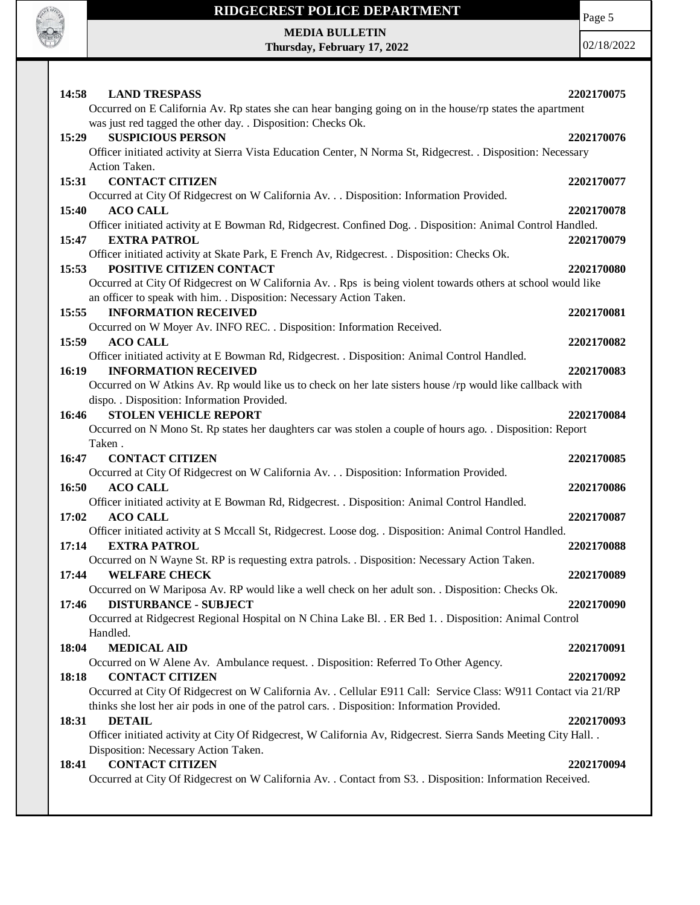

Page 5

**MEDIA BULLETIN Thursday, February 17, 2022**

| 14:58<br><b>LAND TRESPASS</b><br>Occurred on E California Av. Rp states she can hear banging going on in the house/rp states the apartment                                            | 2202170075 |
|---------------------------------------------------------------------------------------------------------------------------------------------------------------------------------------|------------|
| was just red tagged the other day. . Disposition: Checks Ok.                                                                                                                          |            |
| 15:29<br><b>SUSPICIOUS PERSON</b>                                                                                                                                                     | 2202170076 |
| Officer initiated activity at Sierra Vista Education Center, N Norma St, Ridgecrest. . Disposition: Necessary                                                                         |            |
| Action Taken.                                                                                                                                                                         |            |
| <b>CONTACT CITIZEN</b><br>15:31                                                                                                                                                       | 2202170077 |
| Occurred at City Of Ridgecrest on W California Av. Disposition: Information Provided.                                                                                                 |            |
| <b>ACO CALL</b><br>15:40                                                                                                                                                              | 2202170078 |
| Officer initiated activity at E Bowman Rd, Ridgecrest. Confined Dog. . Disposition: Animal Control Handled.                                                                           |            |
| <b>EXTRA PATROL</b><br>15:47                                                                                                                                                          | 2202170079 |
| Officer initiated activity at Skate Park, E French Av, Ridgecrest. . Disposition: Checks Ok.                                                                                          |            |
| POSITIVE CITIZEN CONTACT<br>15:53                                                                                                                                                     | 2202170080 |
| Occurred at City Of Ridgecrest on W California Av. . Rps is being violent towards others at school would like<br>an officer to speak with him. . Disposition: Necessary Action Taken. |            |
| <b>INFORMATION RECEIVED</b><br>15:55                                                                                                                                                  | 2202170081 |
|                                                                                                                                                                                       |            |
| Occurred on W Moyer Av. INFO REC. . Disposition: Information Received.<br><b>ACO CALL</b>                                                                                             | 2202170082 |
| 15:59                                                                                                                                                                                 |            |
| Officer initiated activity at E Bowman Rd, Ridgecrest. . Disposition: Animal Control Handled.                                                                                         |            |
| 16:19<br><b>INFORMATION RECEIVED</b>                                                                                                                                                  | 2202170083 |
| Occurred on W Atkins Av. Rp would like us to check on her late sisters house /rp would like callback with                                                                             |            |
| dispo. . Disposition: Information Provided.                                                                                                                                           |            |
| <b>STOLEN VEHICLE REPORT</b><br>16:46                                                                                                                                                 | 2202170084 |
| Occurred on N Mono St. Rp states her daughters car was stolen a couple of hours ago. . Disposition: Report                                                                            |            |
| Taken.<br><b>CONTACT CITIZEN</b><br>16:47                                                                                                                                             | 2202170085 |
| Occurred at City Of Ridgecrest on W California Av. Disposition: Information Provided.                                                                                                 |            |
| 16:50<br><b>ACO CALL</b>                                                                                                                                                              | 2202170086 |
| Officer initiated activity at E Bowman Rd, Ridgecrest. . Disposition: Animal Control Handled.                                                                                         |            |
| 17:02<br><b>ACO CALL</b>                                                                                                                                                              | 2202170087 |
| Officer initiated activity at S Mccall St, Ridgecrest. Loose dog. . Disposition: Animal Control Handled.                                                                              |            |
| <b>EXTRA PATROL</b><br>17:14                                                                                                                                                          | 2202170088 |
| Occurred on N Wayne St. RP is requesting extra patrols. . Disposition: Necessary Action Taken.                                                                                        |            |
| <b>WELFARE CHECK</b><br>17:44                                                                                                                                                         | 2202170089 |
| Occurred on W Mariposa Av. RP would like a well check on her adult son. . Disposition: Checks Ok.                                                                                     |            |
|                                                                                                                                                                                       |            |
|                                                                                                                                                                                       |            |
| <b>DISTURBANCE - SUBJECT</b><br>17:46                                                                                                                                                 | 2202170090 |
| Occurred at Ridgecrest Regional Hospital on N China Lake Bl. . ER Bed 1. . Disposition: Animal Control                                                                                |            |
| Handled.                                                                                                                                                                              |            |
| 18:04<br><b>MEDICAL AID</b>                                                                                                                                                           | 2202170091 |
| Occurred on W Alene Av. Ambulance request. . Disposition: Referred To Other Agency.                                                                                                   |            |
| <b>CONTACT CITIZEN</b><br>18:18                                                                                                                                                       | 2202170092 |
| Occurred at City Of Ridgecrest on W California Av. . Cellular E911 Call: Service Class: W911 Contact via 21/RP                                                                        |            |
| thinks she lost her air pods in one of the patrol cars. . Disposition: Information Provided.                                                                                          |            |
| <b>DETAIL</b><br>18:31                                                                                                                                                                | 2202170093 |
| Officer initiated activity at City Of Ridgecrest, W California Av, Ridgecrest. Sierra Sands Meeting City Hall. .                                                                      |            |
| Disposition: Necessary Action Taken.                                                                                                                                                  |            |
| <b>CONTACT CITIZEN</b><br>18:41<br>Occurred at City Of Ridgecrest on W California Av. . Contact from S3. . Disposition: Information Received.                                         | 2202170094 |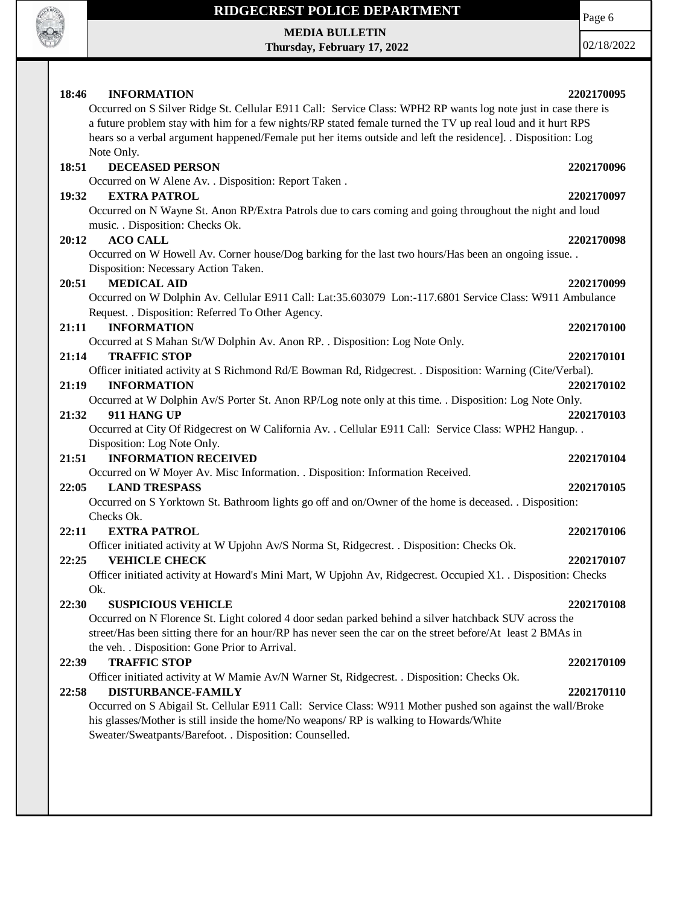

**MEDIA BULLETIN Thursday, February 17, 2022** Page 6

| 18:46<br><b>INFORMATION</b>                                                                                    | 2202170095 |
|----------------------------------------------------------------------------------------------------------------|------------|
| Occurred on S Silver Ridge St. Cellular E911 Call: Service Class: WPH2 RP wants log note just in case there is |            |
| a future problem stay with him for a few nights/RP stated female turned the TV up real loud and it hurt RPS    |            |
| hears so a verbal argument happened/Female put her items outside and left the residence]. . Disposition: Log   |            |
| Note Only.                                                                                                     |            |
| <b>DECEASED PERSON</b><br>18:51                                                                                | 2202170096 |
| Occurred on W Alene Av. . Disposition: Report Taken .                                                          |            |
| <b>EXTRA PATROL</b><br>19:32                                                                                   | 2202170097 |
| Occurred on N Wayne St. Anon RP/Extra Patrols due to cars coming and going throughout the night and loud       |            |
| music. . Disposition: Checks Ok.                                                                               |            |
| <b>ACO CALL</b><br>20:12                                                                                       | 2202170098 |
| Occurred on W Howell Av. Corner house/Dog barking for the last two hours/Has been an ongoing issue. .          |            |
| Disposition: Necessary Action Taken.                                                                           |            |
| <b>MEDICAL AID</b><br>20:51                                                                                    | 2202170099 |
| Occurred on W Dolphin Av. Cellular E911 Call: Lat:35.603079 Lon:-117.6801 Service Class: W911 Ambulance        |            |
| Request. . Disposition: Referred To Other Agency.                                                              |            |
| 21:11<br><b>INFORMATION</b>                                                                                    | 2202170100 |
| Occurred at S Mahan St/W Dolphin Av. Anon RP. . Disposition: Log Note Only.                                    |            |
| <b>TRAFFIC STOP</b><br>21:14                                                                                   | 2202170101 |
| Officer initiated activity at S Richmond Rd/E Bowman Rd, Ridgecrest. . Disposition: Warning (Cite/Verbal).     |            |
| <b>INFORMATION</b><br>21:19                                                                                    | 2202170102 |
| Occurred at W Dolphin Av/S Porter St. Anon RP/Log note only at this time. . Disposition: Log Note Only.        |            |
| 21:32<br>911 HANG UP                                                                                           | 2202170103 |
| Occurred at City Of Ridgecrest on W California Av. . Cellular E911 Call: Service Class: WPH2 Hangup. .         |            |
| Disposition: Log Note Only.                                                                                    |            |
| <b>INFORMATION RECEIVED</b><br>21:51                                                                           | 2202170104 |
| Occurred on W Moyer Av. Misc Information. . Disposition: Information Received.                                 |            |
| <b>LAND TRESPASS</b><br>22:05                                                                                  | 2202170105 |
| Occurred on S Yorktown St. Bathroom lights go off and on/Owner of the home is deceased. . Disposition:         |            |
| Checks Ok.                                                                                                     |            |
| 22:11<br><b>EXTRA PATROL</b>                                                                                   | 2202170106 |
| Officer initiated activity at W Upjohn Av/S Norma St, Ridgecrest. . Disposition: Checks Ok.                    |            |
| <b>VEHICLE CHECK</b><br>22:25                                                                                  | 2202170107 |
| Officer initiated activity at Howard's Mini Mart, W Upjohn Av, Ridgecrest. Occupied X1. . Disposition: Checks  |            |
| Ok.                                                                                                            |            |
| <b>SUSPICIOUS VEHICLE</b><br>22:30                                                                             | 2202170108 |
| Occurred on N Florence St. Light colored 4 door sedan parked behind a silver hatchback SUV across the          |            |
| street/Has been sitting there for an hour/RP has never seen the car on the street before/At least 2 BMAs in    |            |
| the veh. . Disposition: Gone Prior to Arrival.                                                                 |            |
| <b>TRAFFIC STOP</b><br>22:39                                                                                   | 2202170109 |
| Officer initiated activity at W Mamie Av/N Warner St, Ridgecrest. . Disposition: Checks Ok.                    |            |
| <b>DISTURBANCE-FAMILY</b><br>22:58                                                                             | 2202170110 |
| Occurred on S Abigail St. Cellular E911 Call: Service Class: W911 Mother pushed son against the wall/Broke     |            |
| his glasses/Mother is still inside the home/No weapons/RP is walking to Howards/White                          |            |
| Sweater/Sweatpants/Barefoot. . Disposition: Counselled.                                                        |            |
|                                                                                                                |            |
|                                                                                                                |            |